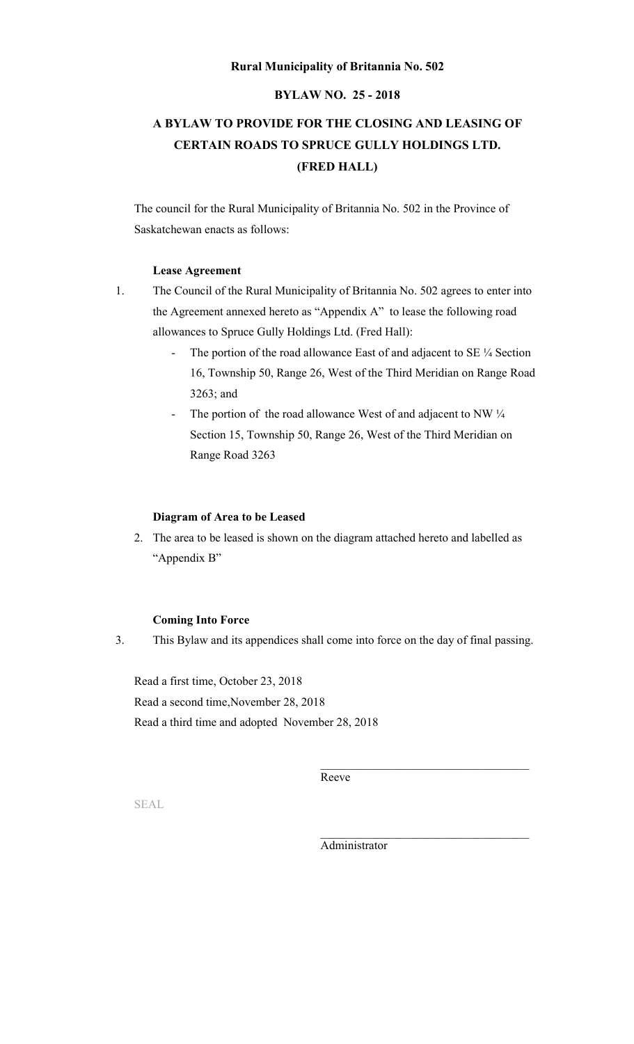## **Rural Municipality of Britannia No. 502**

# **BYLAW NO. 25 - 2018**

# **A BYLAW TO PROVIDE FOR THE CLOSING AND LEASING OF CERTAIN ROADS TO SPRUCE GULLY HOLDINGS LTD. (FRED HALL)**

The council for the Rural Municipality of Britannia No. 502 in the Province of Saskatchewan enacts as follows:

## **Lease Agreement**

- 1. The Council of the Rural Municipality of Britannia No. 502 agrees to enter into the Agreement annexed hereto as "Appendix A" to lease the following road allowances to Spruce Gully Holdings Ltd. (Fred Hall):
	- The portion of the road allowance East of and adjacent to SE 1/4 Section 16, Township 50, Range 26, West of the Third Meridian on Range Road 3263; and
	- The portion of the road allowance West of and adjacent to NW  $\frac{1}{4}$ Section 15, Township 50, Range 26, West of the Third Meridian on Range Road 3263

## **Diagram of Area to be Leased**

2. The area to be leased is shown on the diagram attached hereto and labelled as "Appendix B"

#### **Coming Into Force**

3. This Bylaw and its appendices shall come into force on the day of final passing.

Read a first time, October 23, 2018 Read a second time,November 28, 2018 Read a third time and adopted November 28, 2018

Reeve

SEAL

Administrator

\_\_\_\_\_\_\_\_\_\_\_\_\_\_\_\_\_\_\_\_\_\_\_\_\_\_\_\_\_\_\_\_\_\_\_

\_\_\_\_\_\_\_\_\_\_\_\_\_\_\_\_\_\_\_\_\_\_\_\_\_\_\_\_\_\_\_\_\_\_\_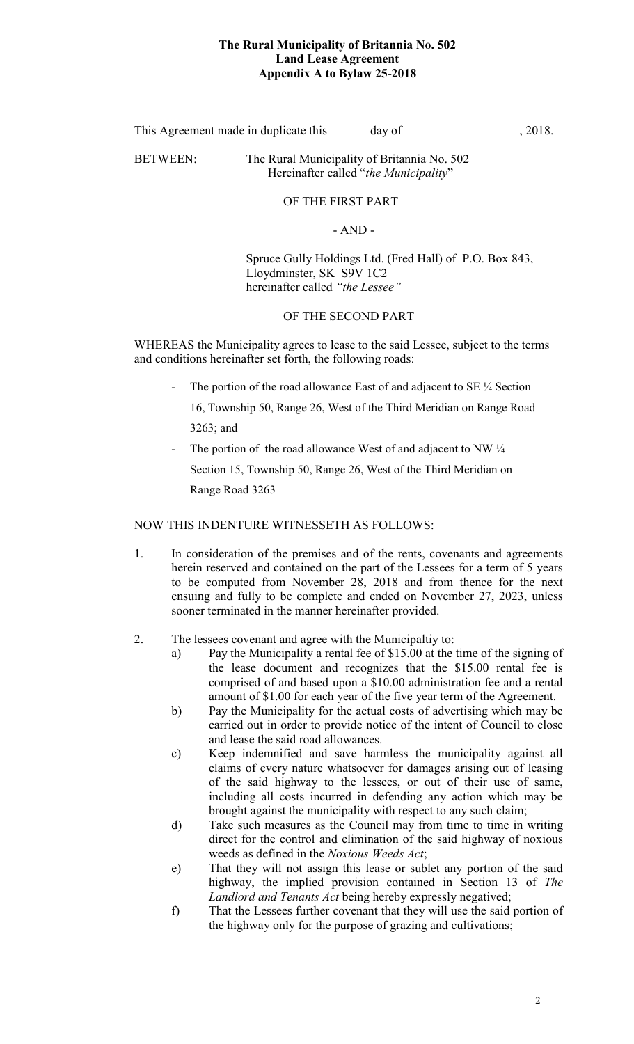# **The Rural Municipality of Britannia No. 502 Land Lease Agreement Appendix A to Bylaw 25-2018**

This Agreement made in duplicate this  $\qquad \qquad$  day of  $\qquad \qquad$ , 2018.

BETWEEN: The Rural Municipality of Britannia No. 502 Hereinafter called "*the Municipality*"

# OF THE FIRST PART

# - AND -

Spruce Gully Holdings Ltd. (Fred Hall) of P.O. Box 843, Lloydminster, SK S9V 1C2 hereinafter called *"the Lessee"*

# OF THE SECOND PART

WHEREAS the Municipality agrees to lease to the said Lessee, subject to the terms and conditions hereinafter set forth, the following roads:

The portion of the road allowance East of and adjacent to SE 1/4 Section

16, Township 50, Range 26, West of the Third Meridian on Range Road 3263; and

The portion of the road allowance West of and adjacent to NW  $\frac{1}{4}$ Section 15, Township 50, Range 26, West of the Third Meridian on Range Road 3263

NOW THIS INDENTURE WITNESSETH AS FOLLOWS:

- 1. In consideration of the premises and of the rents, covenants and agreements herein reserved and contained on the part of the Lessees for a term of 5 years to be computed from November 28, 2018 and from thence for the next ensuing and fully to be complete and ended on November 27, 2023, unless sooner terminated in the manner hereinafter provided.
- 2. The lessees covenant and agree with the Municipaltiy to:
	- a) Pay the Municipality a rental fee of \$15.00 at the time of the signing of the lease document and recognizes that the \$15.00 rental fee is comprised of and based upon a \$10.00 administration fee and a rental amount of \$1.00 for each year of the five year term of the Agreement.
	- b) Pay the Municipality for the actual costs of advertising which may be carried out in order to provide notice of the intent of Council to close and lease the said road allowances.
	- c) Keep indemnified and save harmless the municipality against all claims of every nature whatsoever for damages arising out of leasing of the said highway to the lessees, or out of their use of same, including all costs incurred in defending any action which may be brought against the municipality with respect to any such claim;
	- d) Take such measures as the Council may from time to time in writing direct for the control and elimination of the said highway of noxious weeds as defined in the *Noxious Weeds Act*;
	- e) That they will not assign this lease or sublet any portion of the said highway, the implied provision contained in Section 13 of *The Landlord and Tenants Act* being hereby expressly negatived;
	- f) That the Lessees further covenant that they will use the said portion of the highway only for the purpose of grazing and cultivations;